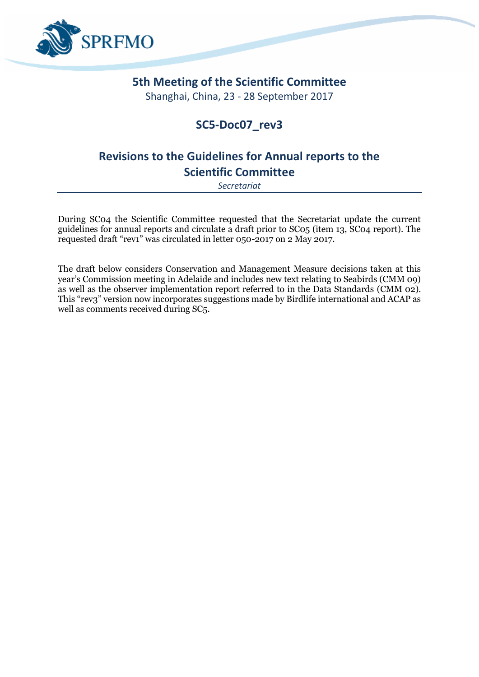

## **5th Meeting of the Scientific Committee**

Shanghai, China, 23 - 28 September 2017

## **SC5-Doc07\_rev3**

# **Revisions to the Guidelines for Annual reports to the Scientific Committee**

*Secretariat*

During SC04 the Scientific Committee requested that the Secretariat update the current guidelines for annual reports and circulate a draft prior to SC05 (item 13, SC04 report). The requested draft "rev1" was circulated in letter 050-2017 on 2 May 2017.

The draft below considers Conservation and Management Measure decisions taken at this year's Commission meeting in Adelaide and includes new text relating to Seabirds (CMM 09) as well as the observer implementation report referred to in the Data Standards (CMM 02). This "rev3" version now incorporates suggestions made by Birdlife international and ACAP as well as comments received during SC5.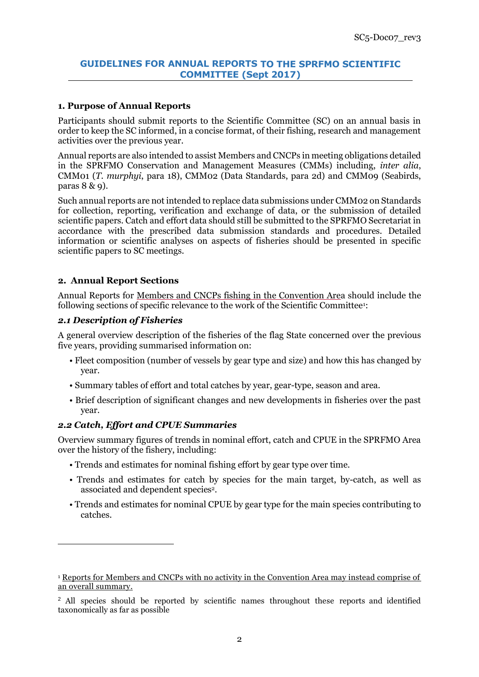### **GUIDELINES FOR ANNUAL REPORTS TO THE SPRFMO SCIENTIFIC COMMITTEE (Sept 2017)**

### **1. Purpose of Annual Reports**

Participants should submit reports to the Scientific Committee (SC) on an annual basis in order to keep the SC informed, in a concise format, of their fishing, research and management activities over the previous year.

Annual reports are also intended to assist Members and CNCPs in meeting obligations detailed in the SPRFMO Conservation and Management Measures (CMMs) including, *inter alia*, CMM01 (*T. murphyi*, para 18), CMM02 (Data Standards, para 2d) and CMM09 (Seabirds, paras 8 & 9).

Such annual reports are not intended to replace data submissions under CMM02 on Standards for collection, reporting, verification and exchange of data, or the submission of detailed scientific papers. Catch and effort data should still be submitted to the SPRFMO Secretariat in accordance with the prescribed data submission standards and procedures. Detailed information or scientific analyses on aspects of fisheries should be presented in specific scientific papers to SC meetings.

#### **2. Annual Report Sections**

Annual Reports for Members and CNCPs fishing in the Convention Area should include the following sections of specific relevance to the work of the Scientific Committee<sup>1</sup> :

#### *2.1 Description of Fisheries*

 $\overline{a}$ 

A general overview description of the fisheries of the flag State concerned over the previous five years, providing summarised information on:

- Fleet composition (number of vessels by gear type and size) and how this has changed by year.
- Summary tables of effort and total catches by year, gear-type, season and area.
- Brief description of significant changes and new developments in fisheries over the past year.

#### *2.2 Catch, Effort and CPUE Summaries*

Overview summary figures of trends in nominal effort, catch and CPUE in the SPRFMO Area over the history of the fishery, including:

- Trends and estimates for nominal fishing effort by gear type over time.
- Trends and estimates for catch by species for the main target, by-catch, as well as associated and dependent species<sup>2</sup>.
- Trends and estimates for nominal CPUE by gear type for the main species contributing to catches.

<sup>1</sup> Reports for Members and CNCPs with no activity in the Convention Area may instead comprise of an overall summary.

<sup>&</sup>lt;sup>2</sup> All species should be reported by scientific names throughout these reports and identified taxonomically as far as possible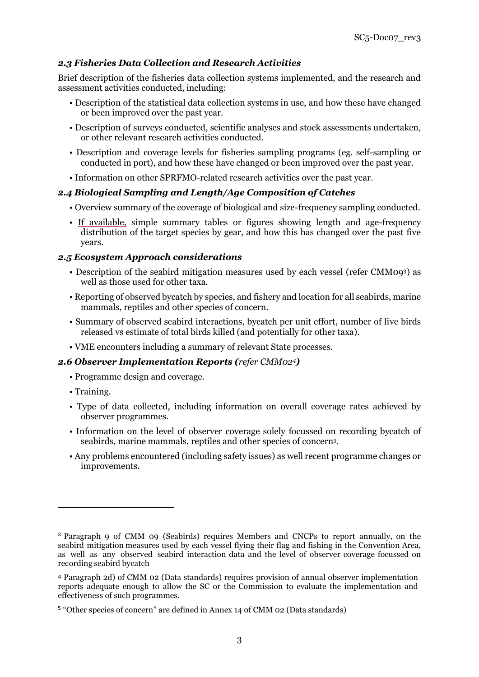## *2.3 Fisheries Data Collection and Research Activities*

Brief description of the fisheries data collection systems implemented, and the research and assessment activities conducted, including:

- Description of the statistical data collection systems in use, and how these have changed or been improved over the past year.
- Description of surveys conducted, scientific analyses and stock assessments undertaken, or other relevant research activities conducted.
- Description and coverage levels for fisheries sampling programs (eg. self-sampling or conducted in port), and how these have changed or been improved over the past year.
- Information on other SPRFMO-related research activities over the past year.

## *2.4 Biological Sampling and Length/Age Composition of Catches*

- Overview summary of the coverage of biological and size-frequency sampling conducted.
- If available, simple summary tables or figures showing length and age-frequency distribution of the target species by gear, and how this has changed over the past five years.

## *2.5 Ecosystem Approach considerations*

- Description of the seabird mitigation measures used by each vessel (refer CMM093) as well as those used for other taxa.
- Reporting of observed bycatch by species, and fishery and location for all seabirds, marine mammals, reptiles and other species of concern.
- Summary of observed seabird interactions, bycatch per unit effort, number of live birds released vs estimate of total birds killed (and potentially for other taxa).
- VME encounters including a summary of relevant State processes.

## *2.6 Observer Implementation Reports (refer CMM024)*

- Programme design and coverage.
- Training.

**.** 

- Type of data collected, including information on overall coverage rates achieved by observer programmes.
- Information on the level of observer coverage solely focussed on recording bycatch of seabirds, marine mammals, reptiles and other species of concern<sup>5</sup> .
- Any problems encountered (including safety issues) as well recent programme changes or improvements.

<sup>3</sup> Paragraph 9 of CMM 09 [\(Seabirds\)](http://www.sprfmo.int/assets/Fisheries/Conservation-and-Management-Measures/CMM-09-2017-Seabirds-27Feb17.pdf) requires Members and CNCPs to report annually, on the seabird mitigation measures used by each vessel flying their flag and fishing in the Convention Area, as well as any observed seabird interaction data and the level of observer coverage focussed on recording seabird bycatch

<sup>4</sup> Paragraph 2d) of [CMM 02 \(Data standards\) r](http://www.sprfmo.int/assets/Fisheries/Conservation-and-Management-Measures/CMM-02-2017-Data-Standards-27Feb17.pdf)equires provision of annual observer implementation reports adequate enough to allow the SC or the Commission to evaluate the implementation and effectiveness of such programmes.

<sup>5</sup> "Other species of concern" are defined in Annex 14 of CMM 02 (Data standards)